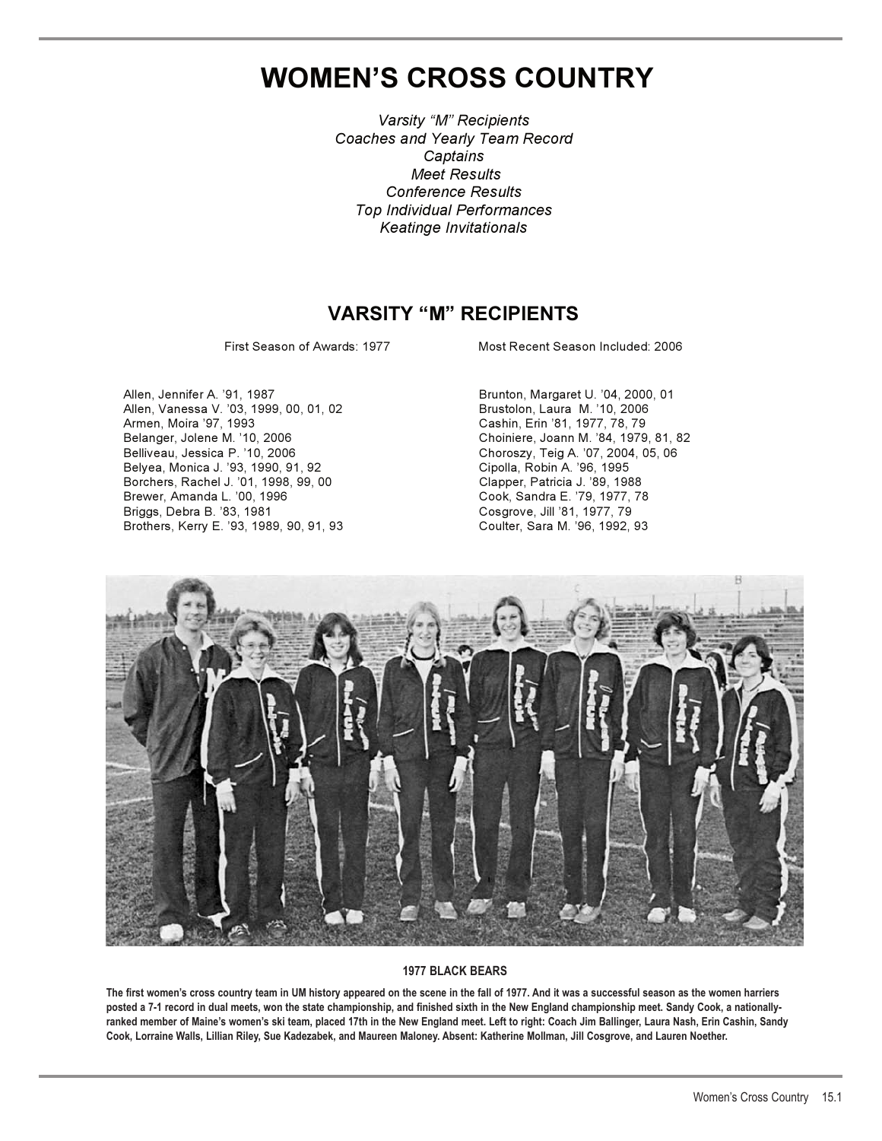# **WOMEN'S CROSS COUNTRY**

*Varsity "M" Recipients Coaches and Yearly Team Record Captains Meet Results Conference Results Top Individual Performances Keatinge Invitationals*

## **VARSITY "M" RECIPIENTS**

First Season of Awards: 1977 Most Recent Season Included: 2006

Allen, Jennifer A. '91, 1987 Brunton, Margaret U. '04, 2000, 01 Allen, Vanessa V. '03, 1999, 00, 01, 02 Brustolon, Laura M. '10, 2006 Belanger, Jolene M. '10, 2006 Choiniere, Joann M. '84, 1979, 81, 82 Belyea, Monica J. '93, 1990, 91, 92 Cipolla, Robin A. '96, 1995 Borchers, Rachel J. '01, 1998, 99, 00<br>Brewer, Amanda L. '00, 1996 Brewer, Amanda L. '00, 1996 Cook, Sandra E. '79, 1977, 78 Brothers, Kerry E. '93, 1989, 90, 91, 93 Coulter, Sara M. '96, 1992, 93

Cashin, Erin '81, 1977, 78, 79 Choroszy, Teig A. '07, 2004, 05, 06 Cosgrove, Jill '81, 1977, 79



#### **1977 BLACK BEARS**

**The first women's cross country team in UM history appeared on the scene in the fall of 1977. And it was a successful season as the women harriers posted a 7-1 record in dual meets, won the state championship, and finished sixth in the New England championship meet. Sandy Cook, a nationallyranked member of Maine's women's ski team, placed 17th in the New England meet. Left to right: Coach Jim Ballinger, Laura Nash, Erin Cashin, Sandy Cook, Lorraine Walls, Lillian Riley, Sue Kadezabek, and Maureen Maloney. Absent: Katherine Mollman, Jill Cosgrove, and Lauren Noether.**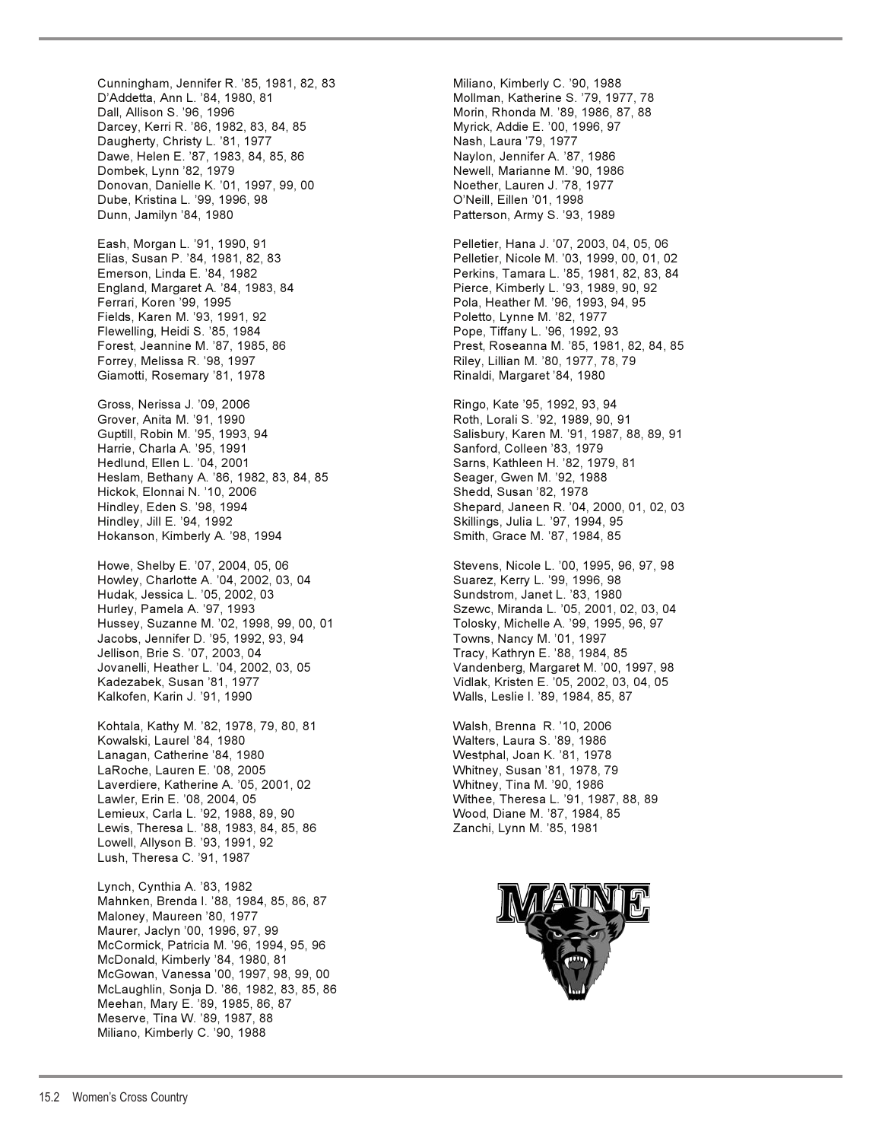Darcey, Kerri R. '86, 1982, 83, 84, 85 Myrick, Addie E. '00, 1996, 97 Daugherty, Christy L. '81, 1977 Dawe, Helen E. '87, 1983, 84, 85, 86 Naylon, Jennifer A. '87, 1986 Dombek, Lynn '82, 1979 Newell, Marianne M. '90, 1986 Donovan, Danielle K. '01, 1997, 99, 00 Noether, Lauren J. '78, 1977 Dube, Kristina L. '99, 1996, 98 O'Neill, Eillen '01, 1998 Dunn, Jamilyn '84, 1980 **Patterson, Army S. '93, 1989** Eash, Morgan L. '91, 1990, 91 Pelletier, Hana J. '07, 2003, 04, 05, 06 Elias, Susan P. '84, 1981, 82, 83 Pelletier, Nicole M. '03, 1999, 00, 01, 02 Emerson, Linda E. '84, 1982 Perkins, Tamara L. '85, 1981, 82, 83, 84 England, Margaret A. '84, 1983, 84 Pierce, Kimberly L. '93, 1989, 90, 92 Ferrari, Koren '99, 1995 Pola, Heather M. '96, 1993, 94, 95 Fields, Karen M. '93, 1991, 92 Poletto, Lynne M. '82, 1977 Flewelling, Heidi S. '85, 1984 Pope, Tiffany L. '96, 1992, 93 Forest, Jeannine M. '87, 1985, 86 Prest, Roseanna M. '85, 1981, 82, 84, 85 Forrey, Melissa R. '98, 1997 Riley, Lillian M. '80, 1977, 78, 79 Giamotti, Rosemary '81, 1978 Rinaldi, Margaret '84, 1980 Gross, Nerissa J. '09, 2006 Ringo, Kate '95, 1992, 93, 94<br>Grover, Anita M. '91, 1990 Roth, Lorali S. '92, 1989, 90, ' Guptill, Robin M. '95, 1993, 94 Salisbury, Karen M. '91, 1987, 88, 89, 91 Harrie, Charla A. '95, 1991 Sanford, Colleen '83, 1979 Hedlund, Ellen L. '04, 2001 Sarns, Kathleen H. '82, 1979, 81 Heslam, Bethany A. '86, 1982, 83, 84, 85 Seager, Gwen M. '92, 1988 Hickok, Elonnai N. '10, 2006 New Shedd, Susan '82, 1978 Hindley, Eden S. '98, 1994 Shepard, Janeen R. '04, 2000, 01, 02, 03 Hindley, Jill E. '94, 1992 Skillings, Julia L. '97, 1994, 95 Hokanson, Kimberly A. '98, 1994 Smith, Grace M. '87, 1984, 85 Howe, Shelby E. '07, 2004, 05, 06 Stevens, Nicole L. '00, 1995, 96, 97, 98 Howley, Charlotte A. '04, 2002, 03, 04 Suarez, Kerry L. '99, 1996, 98<br>Hudak, Jessica L. '05, 2002, 03 Sundstrom, Janet L. '83, 1980 Hudak, Jessica L. '05, 2002, 03<br>Hurley, Pamela A. '97, 1993 Hussey, Suzanne M. '02, 1998, 99, 00, 01 Tolosky, Michelle A. '99, 1995, 96, 97 Jacobs, Jennifer D. '95, 1992, 93, 94 Towns, Nancy M. '01, 1997 Jellison, Brie S. '07, 2003, 04 Tracy, Kathryn E. '88, 1984, 85 Jovanelli, Heather L. '04, 2002, 03, 05 Vandenberg, Margaret M. '00, 1997, 98 Kadezabek, Susan '81, 1977 Vidlak, Kristen E. '05, 2002, 03, 04, 05 Kalkofen, Karin J. '91, 1990 Walls, Leslie I. '89, 1984, 85, 87 Kohtala, Kathy M. '82, 1978, 79, 80, 81 Walsh, Brenna R. '10, 2006 Kowalski, Laurel '84, 1980 Walters, Laura S. '89, 1986 Lanagan, Catherine '84, 1980 Westphal, Joan K. '81, 1978 LaRoche, Lauren E. '08, 2005 Whitney, Susan '81, 1978, 79 Laverdiere, Katherine A. '05, 2001, 02 Lawler, Erin E. '08, 2004, 05 Withee, Theresa L. '91, 1987, 88, 89 Lemieux, Carla L. '92, 1988, 89, 90 Wood, Diane M. '87, 1984, 85 Lewis, Theresa L. '88, 1983, 84, 85, 86 Zanchi, Lynn M. '85, 1981 Lowell, Allyson B. '93, 1991, 92 Lush, Theresa C. '91, 1987 Lynch, Cynthia A. '83, 1982 Mahnken, Brenda I. '88, 1984, 85, 86, 87 Maloney, Maureen '80, 1977 Maurer, Jaclyn '00, 1996, 97, 99 McCormick, Patricia M. '96, 1994, 95, 96 McDonald, Kimberly '84, 1980, 81 McGowan, Vanessa '00, 1997, 98, 99, 00 McLaughlin, Sonja D. '86, 1982, 83, 85, 86 Meehan, Mary E. '89, 1985, 86, 87 Meserve, Tina W. '89, 1987, 88 Miliano, Kimberly C. '90, 1988

Cunningham, Jennifer R. '85, 1981, 82, 83 Miliano, Kimberly C. '90, 1988 D'Addetta, Ann L. '84, 1980, 81 Mollman, Katherine S. '79, 1977, 78 Dall, Allison S. '96, 1996 Morth's Charles Morth, Rhonda M. '89, 1986, 87, 88

Roth, Lorali S. '92, 1989, 90, 91

Szewc, Miranda L. '05, 2001, 02, 03, 04

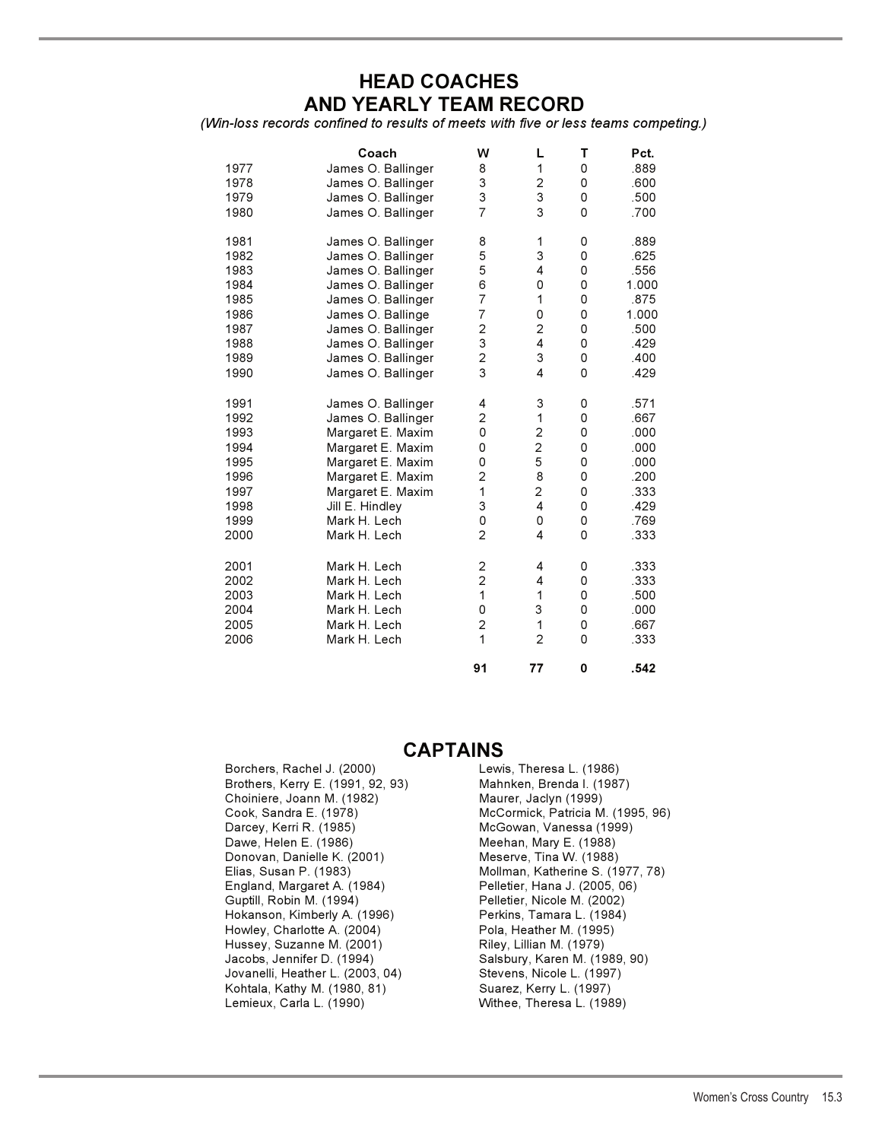## **HEAD COACHES AND YEARLY TEAM RECORD**

*(Win-loss records confined to results of meets with five or less teams competing.)* 

| 1977<br>1978<br>1979<br>1980                 | Coach<br>James O. Ballinger<br>James O. Ballinger<br>James O. Ballinger<br>James O. Ballinger | W<br>8<br>3<br>3<br>$\overline{7}$                                             | L<br>1<br>$\overline{\mathbf{c}}$<br>3<br>3   | Т<br>0<br>0<br>0<br>0           | Pct.<br>.889<br>.600<br>.500<br>.700                 |
|----------------------------------------------|-----------------------------------------------------------------------------------------------|--------------------------------------------------------------------------------|-----------------------------------------------|---------------------------------|------------------------------------------------------|
| 1981                                         | James O. Ballinger                                                                            | 8                                                                              | 1                                             | 0                               | .889                                                 |
| 1982                                         | James O. Ballinger                                                                            | 5                                                                              | 3                                             | 0                               | .625                                                 |
| 1983                                         | James O. Ballinger                                                                            | 5                                                                              | 4                                             | 0                               | .556                                                 |
| 1984                                         | James O. Ballinger                                                                            | 6                                                                              | 0                                             | 0                               | 1.000                                                |
| 1985                                         | James O. Ballinger                                                                            | $\overline{7}$                                                                 | 1                                             | 0                               | .875                                                 |
| 1986                                         | James O. Ballinge                                                                             | $\overline{7}$                                                                 | 0                                             | 0                               | 1.000                                                |
| 1987                                         | James O. Ballinger                                                                            | $\overline{c}$                                                                 | $\overline{c}$                                | 0                               | .500                                                 |
| 1988                                         | James O. Ballinger                                                                            | 3                                                                              | $\overline{\mathbf{4}}$                       | 0                               | .429                                                 |
| 1989                                         | James O. Ballinger                                                                            | $\overline{c}$                                                                 | 3                                             | 0                               | .400                                                 |
| 1990                                         | James O. Ballinger                                                                            | 3                                                                              | $\overline{\mathbf{4}}$                       | 0                               | .429                                                 |
| 1991                                         | James O. Ballinger                                                                            | 4                                                                              | 3                                             | 0                               | .571                                                 |
| 1992                                         | James O. Ballinger                                                                            | 2                                                                              | 1                                             | 0                               | .667                                                 |
| 1993                                         | Margaret E. Maxim                                                                             | 0                                                                              | $\overline{\mathbf{c}}$                       | 0                               | .000                                                 |
| 1994                                         | Margaret E. Maxim                                                                             | 0                                                                              | $\overline{c}$                                | 0                               | .000                                                 |
| 1995                                         | Margaret E. Maxim                                                                             | 0                                                                              | 5                                             | 0                               | .000                                                 |
| 1996                                         | Margaret E. Maxim                                                                             | 2                                                                              | 8                                             | 0                               | .200                                                 |
| 1997                                         | Margaret E. Maxim                                                                             | $\mathbf 1$                                                                    | $\overline{c}$                                | 0                               | .333                                                 |
| 1998                                         | Jill E. Hindley                                                                               | 3                                                                              | 4                                             | 0                               | .429                                                 |
| 1999                                         | Mark H. Lech                                                                                  | 0                                                                              | 0                                             | 0                               | .769                                                 |
| 2000                                         | Mark H. Lech                                                                                  | $\overline{2}$                                                                 | 4                                             | 0                               | .333                                                 |
| 2001<br>2002<br>2003<br>2004<br>2005<br>2006 | Mark H. Lech<br>Mark H. Lech<br>Mark H. Lech<br>Mark H. Lech<br>Mark H. Lech<br>Mark H. Lech  | 2<br>$\overline{c}$<br>1<br>0<br>$\overline{\mathbf{c}}$<br>$\mathbf{1}$<br>91 | 4<br>4<br>1<br>3<br>1<br>$\overline{2}$<br>77 | 0<br>0<br>0<br>0<br>0<br>0<br>0 | .333<br>.333<br>.500<br>.000<br>.667<br>.333<br>.542 |

## **CAPTAINS**

| Borchers, Rachel J. (2000)        | Lewis, Theresa L. (1986)          |
|-----------------------------------|-----------------------------------|
| Brothers, Kerry E. (1991, 92, 93) | Mahnken, Brenda I. (1987)         |
| Choiniere, Joann M. (1982)        | Maurer, Jaclyn (1999)             |
| Cook, Sandra E. (1978)            | McCormick, Patricia M. (1995, 96) |
| Darcey, Kerri R. (1985)           | McGowan, Vanessa (1999)           |
| Dawe, Helen E. (1986)             | Meehan, Mary E. (1988)            |
| Donovan, Danielle K. (2001)       | Meserve, Tina W. (1988)           |
| Elias, Susan P. (1983)            | Mollman, Katherine S. (1977, 78)  |
| England, Margaret A. (1984)       | Pelletier, Hana J. (2005, 06)     |
| Guptill, Robin M. (1994)          | Pelletier, Nicole M. (2002)       |
| Hokanson, Kimberly A. (1996)      | Perkins, Tamara L. (1984)         |
| Howley, Charlotte A. (2004)       | Pola, Heather M. (1995)           |
| Hussey, Suzanne M. (2001)         | Riley, Lillian M. (1979)          |
| Jacobs, Jennifer D. (1994)        | Salsbury, Karen M. (1989, 90)     |
| Jovanelli, Heather L. (2003, 04)  | Stevens, Nicole L. (1997)         |
| Kohtala, Kathy M. (1980, 81)      | Suarez, Kerry L. (1997)           |
| Lemieux, Carla L. (1990)          | Withee, Theresa L. (1989)         |
|                                   |                                   |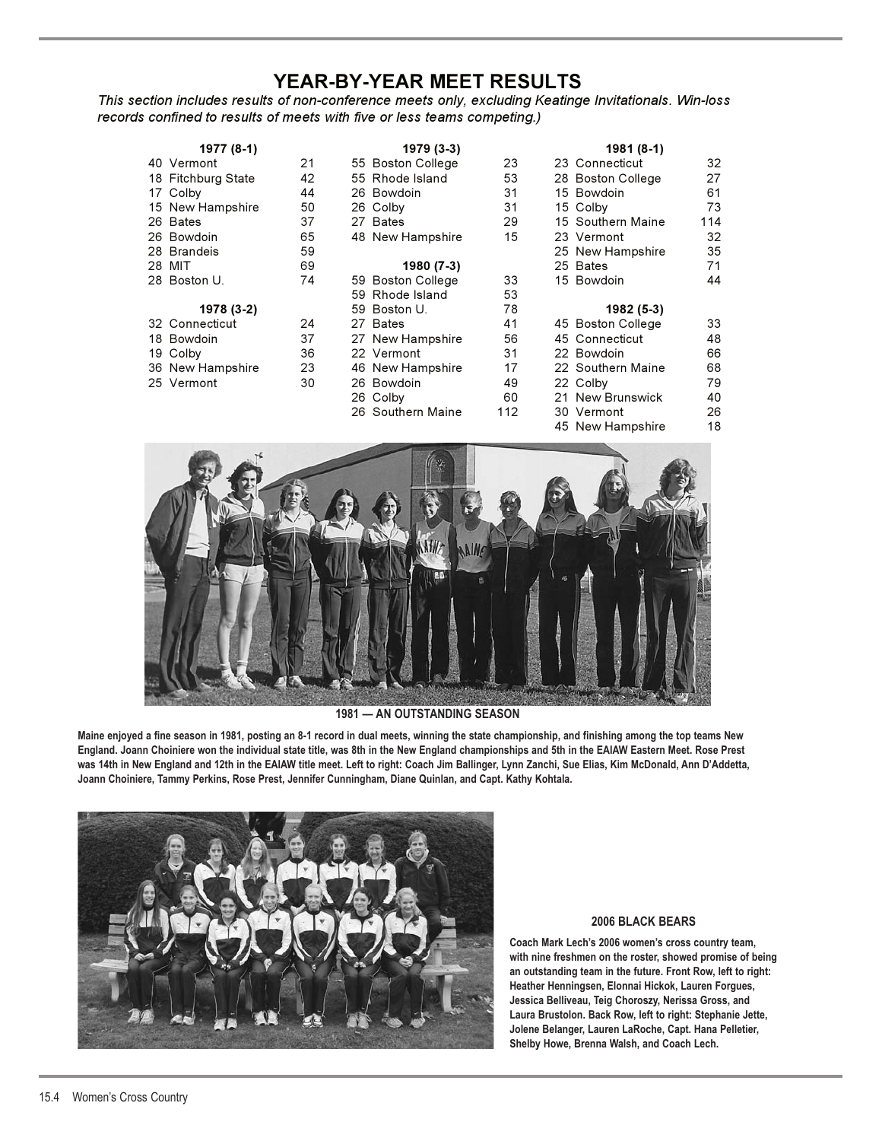## **YEAR-BY-YEAR MEET RESULTS**

*This section includes results of non-conference meets only, excluding Keatinge Invitationals. Win-loss records confined to results of meets with five or less teams competing.)*

|  | 1977 (8-1)         |    | 1979 (3-3)        |     | 1981 (8-1)        |     |
|--|--------------------|----|-------------------|-----|-------------------|-----|
|  | 40 Vermont         | 21 | 55 Boston College | 23  | 23 Connecticut    | 32  |
|  | 18 Fitchburg State | 42 | 55 Rhode Island   | 53  | 28 Boston College | 27  |
|  | 17 Colby           | 44 | 26 Bowdoin        | 31  | 15 Bowdoin        | 61  |
|  | 15 New Hampshire   | 50 | 26 Colby          | 31  | 15 Colby          | 73  |
|  | 26 Bates           | 37 | 27 Bates          | 29  | 15 Southern Maine | 114 |
|  | 26 Bowdoin         | 65 | 48 New Hampshire  | 15  | 23 Vermont        | 32  |
|  | 28 Brandeis        | 59 |                   |     | 25 New Hampshire  | 35  |
|  | 28 MIT             | 69 | 1980 (7-3)        |     | 25 Bates          | 71  |
|  | 28 Boston U.       | 74 | 59 Boston College | 33  | 15 Bowdoin        | 44  |
|  |                    |    | 59 Rhode Island   | 53  |                   |     |
|  | 1978 (3-2)         |    | 59 Boston U.      | 78  | 1982 (5-3)        |     |
|  | 32 Connecticut     | 24 | 27 Bates          | 41  | 45 Boston College | 33  |
|  | 18 Bowdoin         | 37 | 27 New Hampshire  | 56  | 45 Connecticut    | 48  |
|  | 19 Colby           | 36 | 22 Vermont        | 31  | 22 Bowdoin        | 66  |
|  | 36 New Hampshire   | 23 | 46 New Hampshire  | 17  | 22 Southern Maine | 68  |
|  | 25 Vermont         | 30 | 26 Bowdoin        | 49  | 22 Colby          | 79  |
|  |                    |    | 26 Colby          | 60  | 21 New Brunswick  | 40  |
|  |                    |    | 26 Southern Maine | 112 | 30 Vermont        | 26  |
|  |                    |    |                   |     | 45 New Hampshire  | 18  |



#### **1981 — AN OUTSTANDING SEASON**

**Maine enjoyed a fine season in 1981, posting an 8-1 record in dual meets, winning the state championship, and finishing among the top teams New England. Joann Choiniere won the individual state title, was 8th in the New England championships and 5th in the EAIAW Eastern Meet. Rose Prest was 14th in New England and 12th in the EAIAW title meet. Left to right: Coach Jim Ballinger, Lynn Zanchi, Sue Elias, Kim McDonald, Ann D'Addetta, Joann Choiniere, Tammy Perkins, Rose Prest, Jennifer Cunningham, Diane Quinlan, and Capt. Kathy Kohtala.**



#### **2006 BLACK BEARS**

**Coach Mark Lech's 2006 women's cross country team, with nine freshmen on the roster, showed promise of being an outstanding team in the future. Front Row, left to right: Heather Henningsen, Elonnai Hickok, Lauren Forgues, Jessica Belliveau, Teig Choroszy, Nerissa Gross, and Laura Brustolon. Back Row, left to right: Stephanie Jette, Jolene Belanger, Lauren LaRoche, Capt. Hana Pelletier, Shelby Howe, Brenna Walsh, and Coach Lech.**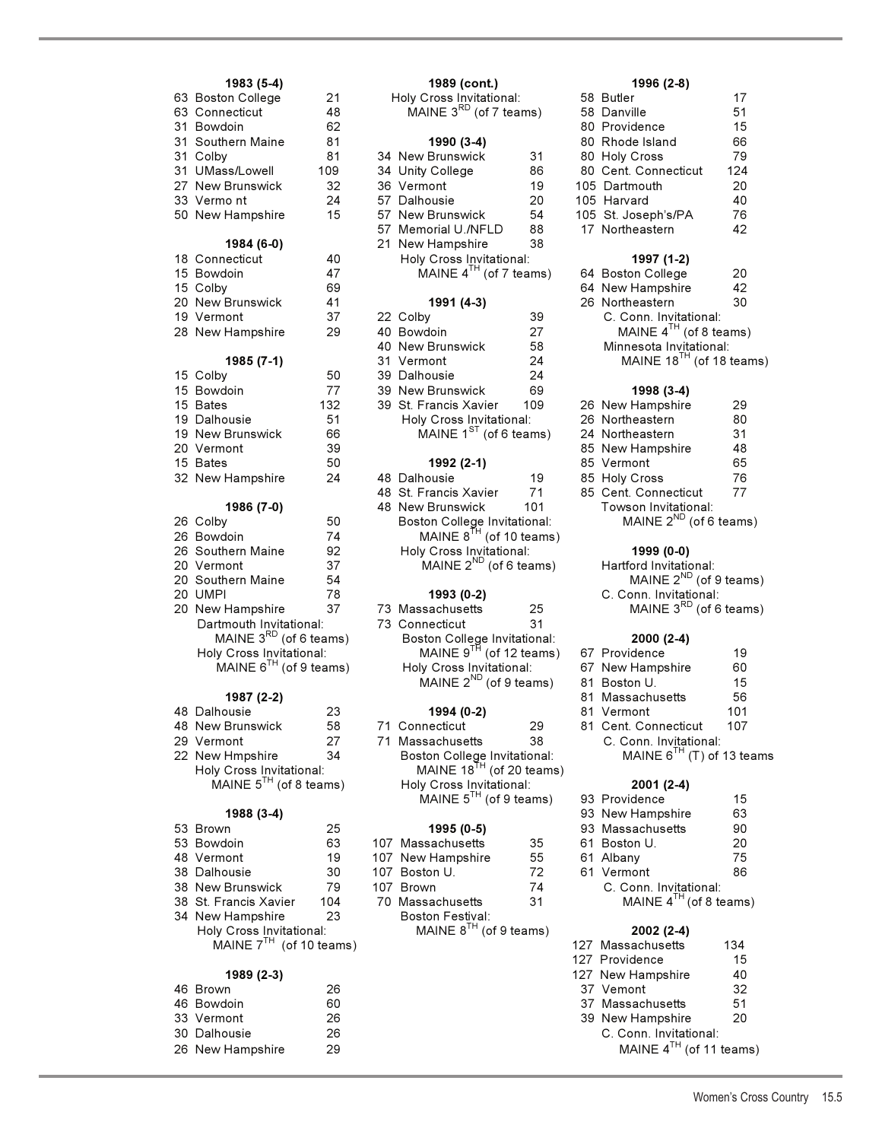| 1983 (5-4)                  |     | 1989 (cont.)                                                        |     | 1996 (2-8)                         |     |
|-----------------------------|-----|---------------------------------------------------------------------|-----|------------------------------------|-----|
| 63 Boston College           | 21  | Holy Cross Invitational:                                            |     | 58 Butler                          | 17  |
| 63 Connecticut              | 48  | MAINE $3^{RD}$ (of 7 teams)                                         |     | 58 Danville                        | 51  |
| 31 Bowdoin                  | 62  |                                                                     |     | 80 Providence                      | 15  |
| 31 Southern Maine           | 81  | 1990 (3-4)                                                          |     | 80 Rhode Island                    | 66  |
| 31 Colby                    | 81  | 34 New Brunswick                                                    | 31  | 80 Holy Cross                      | 79  |
| 31 UMass/Lowell             | 109 | 34 Unity College                                                    | 86  | 80 Cent. Connecticut               | 124 |
| 27 New Brunswick            | 32  | 36 Vermont                                                          | 19  | 105 Dartmouth                      | 20  |
| 33 Vermont                  | 24  | 57 Dalhousie                                                        | 20  | 105 Harvard                        | 40  |
| 50 New Hampshire            | 15  | 57 New Brunswick                                                    | 54  | 105 St. Joseph's/PA                | 76  |
|                             |     | 57 Memorial U./NFLD                                                 | 88  | 17 Northeastern                    | 42  |
| 1984 (6-0)                  |     | 21 New Hampshire                                                    | 38  |                                    |     |
| 18 Connecticut              | 40  | Holy Cross Invitational:                                            |     | 1997 (1-2)                         |     |
| 15 Bowdoin                  | 47  | MAINE $4^{TH}$ (of 7 teams)                                         |     | 64 Boston College                  | 20  |
| 15 Colby                    | 69  |                                                                     |     | 64 New Hampshire                   | 42  |
| 20 New Brunswick            | 41  | 1991 (4-3)                                                          |     | 26 Northeastern                    | 30  |
| 19 Vermont                  | 37  | 22 Colby                                                            | 39  | C. Conn. Invitational:             |     |
| 28 New Hampshire            | 29  | 40 Bowdoin                                                          | 27  | MAINE $4^{TH}$ (of 8 teams)        |     |
|                             |     | 40 New Brunswick                                                    | 58  | Minnesota Invitational:            |     |
| 1985 (7-1)                  |     | 31 Vermont                                                          | 24  | MAINE $18^{TH}$ (of 18 teams)      |     |
| 15 Colby                    | 50  | 39 Dalhousie                                                        | 24  |                                    |     |
| 15 Bowdoin                  | 77  | 39 New Brunswick                                                    | 69  | 1998 (3-4)                         |     |
| 15 Bates                    | 132 | 39 St. Francis Xavier                                               | 109 | 26 New Hampshire                   | 29  |
| 19 Dalhousie                | 51  | Holy Cross Invitational:                                            |     | 26 Northeastern                    | 80  |
| 19 New Brunswick            | 66  | MAINE $1^{ST}$ (of 6 teams)                                         |     | 24 Northeastern                    | 31  |
| 20 Vermont                  | 39  |                                                                     |     | 85 New Hampshire                   | 48  |
| 15 Bates                    | 50  | 1992 (2-1)                                                          |     | 85 Vermont                         | 65  |
| 32 New Hampshire            | 24  | 48 Dalhousie                                                        | 19  | 85 Holy Cross                      | 76  |
|                             |     | 48 St. Francis Xavier                                               | 71  | 85 Cent. Connecticut               | 77  |
| 1986 (7-0)                  |     | 48 New Brunswick                                                    | 101 | Towson Invitational:               |     |
| 26 Colby                    | 50  | Boston College Invitational:                                        |     | MAINE $2^{ND}$ (of 6 teams)        |     |
| 26 Bowdoin                  | 74  | MAINE $8^{TH}$ (of 10 teams)                                        |     |                                    |     |
| 26 Southern Maine           | 92  | Holy Cross Invitational:                                            |     | 1999 (0-0)                         |     |
| 20 Vermont                  | 37  | MAINE $2^{ND}$ (of 6 teams)                                         |     | Hartford Invitational:             |     |
| 20 Southern Maine           | 54  |                                                                     |     | MAINE 2 <sup>ND</sup> (of 9 teams) |     |
| 20 UMPI                     | 78  | 1993 (0-2)                                                          |     | C. Conn. Invitational:             |     |
| 20 New Hampshire            | 37  | 73 Massachusetts                                                    | 25  | MAINE $3^{RD}$ (of 6 teams)        |     |
| Dartmouth Invitational:     |     | 73 Connecticut                                                      | 31  |                                    |     |
| MAINE $3^{RD}$ (of 6 teams) |     | Boston College Invitational:<br>MAINE 9 <sup>TH</sup> (of 12 teams) |     | $2000(2-4)$                        |     |
| Holy Cross Invitational:    |     |                                                                     |     | 67 Providence                      | 19  |
| MAINE $6^{TH}$ (of 9 teams) |     | Holy Cross Invitational:                                            |     | 67 New Hampshire                   | 60  |
|                             |     | MAINE $2^{ND}$ (of 9 teams)                                         |     | 81 Boston U.                       | 15  |
| 1987 (2-2)                  |     |                                                                     |     | 81 Massachusetts                   | 56  |
| 48 Dalhousie                | 23  | 1994 (0-2)                                                          |     | 81 Vermont                         | 101 |
| 48 New Brunswick            | 58  | 71 Connecticut                                                      | 29  | 81 Cent. Connecticut               | 107 |
| 29 Vermont                  | 27  | 71 Massachusetts                                                    | 38  | C. Conn. Invitational:             |     |
| 22 New Hmpshire             | 34  | Boston College Invitational:                                        |     | MAINE $6^{TH}$ (T) of 13 teams     |     |
| Holy Cross Invitational:    |     | MAINE $18^{TH}$ (of 20 teams)                                       |     |                                    |     |
| MAINE $5^{TH}$ (of 8 teams) |     | Holy Cross Invitational:                                            |     | 2001 (2-4)                         |     |
|                             |     | MAINE $5^{TH}$ (of 9 teams)                                         |     | 93 Providence                      | 15  |
| 1988 (3-4)                  |     |                                                                     |     | 93 New Hampshire                   | 63  |
| 53 Brown                    | 25  | 1995 (0-5)                                                          |     | 93 Massachusetts                   | 90  |
| 53 Bowdoin                  | 63  | 107 Massachusetts                                                   | 35  | 61 Boston U.                       | 20  |
| 48 Vermont                  | 19  | 107 New Hampshire                                                   | 55  | 61 Albany                          | 75  |
| 38 Dalhousie                | 30  | 107 Boston U.                                                       | 72  | 61 Vermont                         | 86  |
| 38 New Brunswick            | 79  | 107 Brown                                                           | 74  | C. Conn. Invitational:             |     |
| 38 St. Francis Xavier       | 104 | 70 Massachusetts                                                    | 31  | MAINE $4^{TH}$ (of 8 teams)        |     |
| 34 New Hampshire            | 23  | Boston Festival:                                                    |     |                                    |     |

### **1989 (2-3)** 127 New Hampshire 40 New Hampshire 40 New Hampshire 40 New Hampshire 40 New Hampshire 40 New Hampshire 40 New Hampshire 40 New Hampshire 40 New Hampshire 40 New Hampshire 40 New Hampshire 40 New Hampshire 40 N

| 46 Brown         | 26 | 37 Vemont              |
|------------------|----|------------------------|
| 46 Bowdoin       | 60 | 37 Massachusetts       |
| 33 Vermont       | 26 | 39 New Hampshire       |
| 30 Dalhousie     | 26 | C. Conn. Invitational: |
| 26 New Hampshire | 29 | MAINE $4^{TH}$ (of 11  |
|                  |    |                        |

| 63 Boston College | 21  | Holy Cross Invitational:     |     | 58 Butler                     | 17  |
|-------------------|-----|------------------------------|-----|-------------------------------|-----|
| 63 Connecticut    | 48  | MAINE $3^{RD}$ (of 7 teams)  |     | 58 Danville                   | 51  |
| 31 Bowdoin        | 62  |                              |     | 80 Providence                 | 15  |
| 31 Southern Maine | 81  | 1990 (3-4)                   |     | 80 Rhode Island               | 66  |
| 31 Colby          | 81  | 34 New Brunswick             | 31  | 80 Holy Cross                 | 79  |
| 31 UMass/Lowell   | 109 | 34 Unity College             | 86  | 80 Cent. Connecticut          | 124 |
| 27 New Brunswick  | 32  | 36 Vermont                   | 19  | 105 Dartmouth                 | 20  |
| 33 Vermont        | 24  | 57 Dalhousie                 | 20  | 105 Harvard                   | 40  |
| 50 New Hampshire  | 15  | 57 New Brunswick             | 54  | 105 St. Joseph's/PA           | 76  |
|                   |     | 57 Memorial U./NFLD          | 88  | 17 Northeastern               | 42  |
| 1984 (6-0)        |     | 21 New Hampshire             | 38  |                               |     |
| 18 Connecticut    | 40  | Holy Cross Invitational:     |     | 1997 (1-2)                    |     |
| 15 Bowdoin        | 47  | MAINE $4^{TH}$ (of 7 teams)  |     | 64 Boston College             | 20  |
| 15 Colby          | 69  |                              |     | 64 New Hampshire              | 42  |
| 20 New Brunswick  | 41  | 1991 (4-3)                   |     | 26 Northeastern               | 30  |
| 19 Vermont        | 37  | 22 Colby                     | 39  | C. Conn. Invitational:        |     |
| 28 New Hampshire  | 29  | 40 Bowdoin                   | 27  | MAINE $4^{TH}$ (of 8 teams)   |     |
|                   |     | 40 New Brunswick             | 58  | Minnesota Invitational:       |     |
| 1985 (7-1)        |     | 31 Vermont                   | 24  | MAINE $18^{TH}$ (of 18 teams) |     |
| 15 Colby          | 50  | 39 Dalhousie                 | 24  |                               |     |
| 15 Bowdoin        | 77  | 39 New Brunswick             | 69  | 1998 (3-4)                    |     |
| 15 Bates          | 132 | 39 St. Francis Xavier        | 109 | 26 New Hampshire              | 29  |
| 19 Dalhousie      | 51  | Holy Cross Invitational:     |     | 26 Northeastern               | 80  |
| 19 New Brunswick  | 66  | MAINE $1^{ST}$ (of 6 teams)  |     | 24 Northeastern               | 31  |
| 20 Vermont        | 39  |                              |     | 85 New Hampshire              | 48  |
| 15 Bates          | 50  | 1992 (2-1)                   |     | 85 Vermont                    | 65  |
| 32 New Hampshire  | 24  | 48 Dalhousie                 | 19  | 85 Holy Cross                 | 76  |
|                   |     | 48 St. Francis Xavier        | 71  | 85 Cent. Connecticut          | 77  |
| 1986 (7-0)        |     | 48 New Brunswick             | 101 | Towson Invitational:          |     |
| 26 Colby          | 50  | Boston College Invitational: |     | MAINE $2^{ND}$ (of 6 teams)   |     |
| 26 Bowdoin        | 74  | MAINE $8^{TH}$ (of 10 teams) |     |                               |     |
| 26 Southern Maine | 92  | Holy Cross Invitational:     |     | 1999 (0-0)                    |     |
| 20 Vermont        | 37  | MAINE $2^{ND}$ (of 6 teams)  |     | Hartford Invitational:        |     |
| 20 Southern Maine | 54  |                              |     | MAINE $2^{ND}$ (of 9 teams)   |     |
| 20 UMPI           | 78  | 1993 (0-2)                   |     | C. Conn. Invitational:        |     |
| 20 New Hampshire  | 37  | 73 Massachusetts             | 25  | MAINE $3^{RD}$ (of 6 teams)   |     |

Boston Festival:<br>MAINE  $8^{TH}$  (of 9 teams)

## **1983 (5-4) 1989 (cont.) 1996 (2-8)**

| oo Buuer             | 17  |
|----------------------|-----|
| 58 Danville          | 51  |
| 80 Providence        | 15  |
| 80 Rhode Island      | 66  |
| 80 Holy Cross        | 79  |
| 80 Cent. Connecticut | 124 |
| 05 Dartmouth         | 20  |
| 05 Harvard           | 40  |
| 05 St. Joseph's/PA   | 76  |
| 17 Northeastern      | 42  |
|                      |     |

#### 1997 (1-2)

| 64 Boston College                   | 20 |
|-------------------------------------|----|
| 64 New Hampshire                    | 42 |
| 26 Northeastern                     | 30 |
| C. Conn. Invitational:              |    |
| MAINE $4^{TH}$ (of 8 teams)         |    |
| Minnesota Invitational:             |    |
| MAINE 18 <sup>TH</sup> (of 18 teams |    |
|                                     |    |

## 15 Bowdoin 77 39 New Brunswick 69 **1998 (3-4)**

| zo  new Hampsnire           | -29 |
|-----------------------------|-----|
| 26 Northeastern             | 80  |
| 24 Northeastern             | 31  |
| 85 New Hampshire            | 48  |
| 85 Vermont                  | 65  |
| 85 Holy Cross               | 76  |
| 85 Cent. Connecticut        | 77  |
| Towson Invitational:        |     |
| MAINE $2^{ND}$ (of 6 teams) |     |

#### 26 Southern Maine 92 Holy Cross Invitational: **1999 (0-0)**

| bly Cross Invitational:            |    | MAINE $917$ (of 12 teams) |                              |    |  | 67 Providence                | 19  |
|------------------------------------|----|---------------------------|------------------------------|----|--|------------------------------|-----|
| MAINE $6^{TH}$ (of 9 teams)        |    |                           | Holy Cross Invitational:     |    |  | 67 New Hampshire             | 60  |
|                                    |    |                           | MAINE $2^{ND}$ (of 9 teams)  |    |  | 81 Boston U.                 | 15  |
| 1987 (2-2)                         |    |                           |                              |    |  | 81 Massachusetts             | 56  |
| ılhousie                           | 23 |                           | 1994 (0-2)                   |    |  | 81 Vermont                   | 101 |
| w Brunswick                        | 58 |                           | 71 Connecticut               | 29 |  | 81 Cent. Connecticut         | 107 |
| rmont                              | 27 |                           | 71 Massachusetts             | 38 |  | C. Conn. Invitational:       |     |
| w Hmpshire                         | 34 |                           | Boston College Invitational: |    |  | MAINE $6^{TH}$ (T) of 13 tea |     |
| $\sim$ $\sim$ $\sim$ $\sim$ $\sim$ |    |                           | $\overline{H}$               |    |  |                              |     |

|              |     | MAINE $5^{TH}$ (of 9 teams) |    | 93 Providence               | 15 |
|--------------|-----|-----------------------------|----|-----------------------------|----|
| 1988 (3-4)   |     |                             |    | 93 New Hampshire            | 63 |
| n            | 25  | 1995 (0-5)                  |    | 93 Massachusetts            | 90 |
| loin         | 63  | 107 Massachusetts           | 35 | 61 Boston U.                | 20 |
| ont          | 19  | 107 New Hampshire           | 55 | 61 Albany                   | 75 |
| pusie        | 30  | 107 Boston U.               | 72 | 61 Vermont                  | 86 |
| Brunswick    | 79  | 107 Brown                   | 74 | C. Conn. Invitational:      |    |
| ancis Xavier | 104 | 70 Massachusetts            | 31 | MAINE $4^{TH}$ (of 8 teams) |    |
| Hampshire    | 23  | <b>Boston Festival:</b>     |    |                             |    |

### Holy Cross Invitational: MAINE 8<sup>TH</sup> (of 9 teams) **2002 (2-4)**

| MAINE $7^{TH}$ (of 10 teams) |    | 127 Massachusetts            | 134 |
|------------------------------|----|------------------------------|-----|
|                              |    | 127 Providence               | 15  |
| 1989 (2-3)                   |    | 127 New Hampshire            | 40  |
| 46 Brown                     | 26 | 37 Vemont                    | 32  |
| 46 Bowdoin                   | 60 | 37 Massachusetts             | 51  |
| 33 Vermont                   | 26 | 39 New Hampshire             | -20 |
| 30 Dalhousie                 | 26 | C. Conn. Invitational:       |     |
| 26 New Hampshire             | 29 | MAINE $4^{TH}$ (of 11 teams) |     |

Women's Cross Country 15.5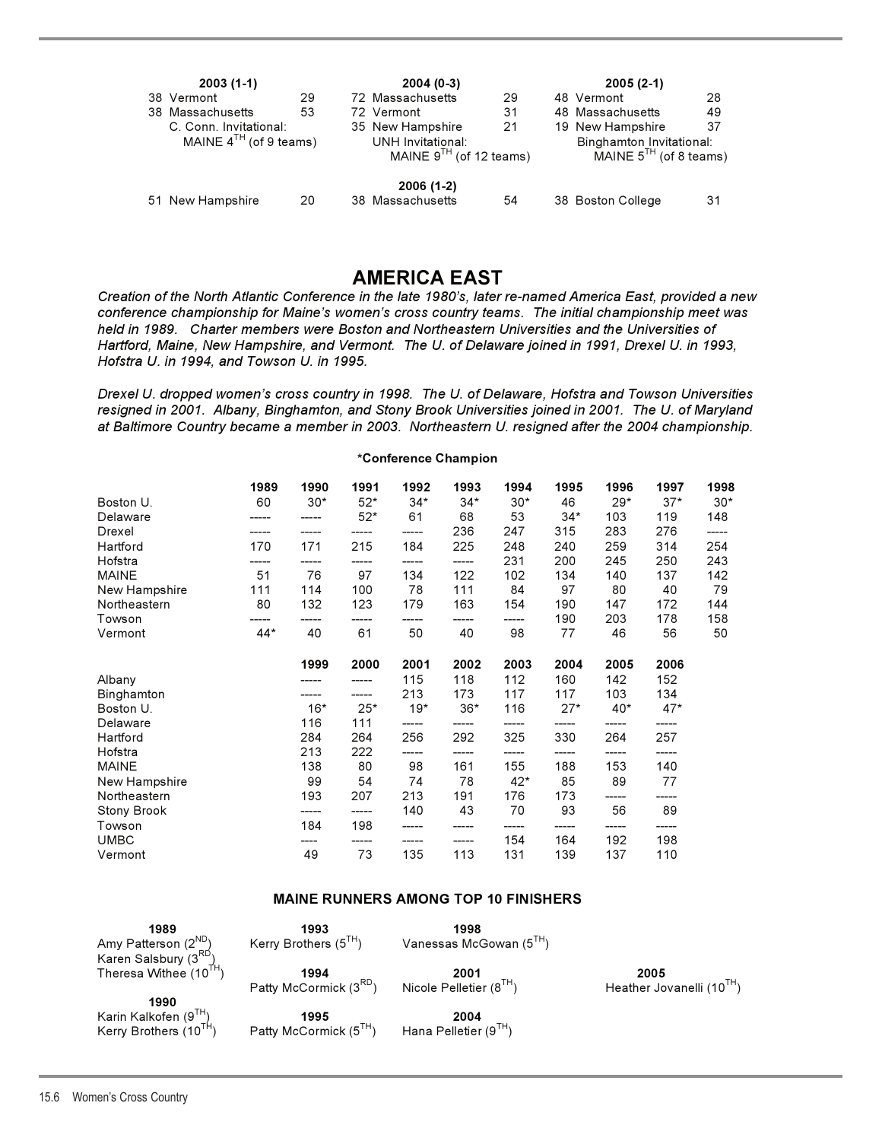| $2003(1-1)$                 |    | $2004(0-3)$                                              |    | $2005(2-1)$                                             |    |
|-----------------------------|----|----------------------------------------------------------|----|---------------------------------------------------------|----|
| 38 Vermont                  | 29 | 72 Massachusetts                                         | 29 | 48 Vermont                                              | 28 |
| 38 Massachusetts            | 53 | 72 Vermont                                               | 31 | 48 Massachusetts                                        | 49 |
| C. Conn. Invitational:      |    | 35 New Hampshire                                         | 21 | 19 New Hampshire                                        | 37 |
| MAINE $4^{TH}$ (of 9 teams) |    | <b>UNH Invitational:</b><br>MAINE $9^{TH}$ (of 12 teams) |    | Binghamton_Invitational:<br>MAINE $5^{TH}$ (of 8 teams) |    |
|                             |    | 2006 (1-2)                                               |    |                                                         |    |
| 51 New Hampshire            | 20 | 38 Massachusetts                                         | 54 | 38 Boston College                                       | 31 |

## **AMERICA EAST**

*Creation of the North Atlantic Conference in the late 1980's, later re-named America East, provided a new conference championship for Maine's women's cross country teams. The initial championship meet was held in 1989. Charter members were Boston and Northeastern Universities and the Universities of Hartford, Maine, New Hampshire, and Vermont. The U. of Delaware joined in 1991, Drexel U. in 1993, Hofstra U. in 1994, and Towson U. in 1995.*

*Drexel U. dropped women's cross country in 1998. The U. of Delaware, Hofstra and Towson Universities resigned in 2001. Albany, Binghamton, and Stony Brook Universities joined in 2001. The U. of Maryland at Baltimore Country became a member in 2003. Northeastern U. resigned after the 2004 championship.*

**\*Conference Champion** 

|               | 1989  | 1990  | 1991  | 1992  | 1993  | 1994   | 1995   | 1996   | 1997   | 1998  |
|---------------|-------|-------|-------|-------|-------|--------|--------|--------|--------|-------|
| Boston U.     | 60    | $30*$ | $52*$ | $34*$ | $34*$ | $30*$  | 46     | $29*$  | $37*$  | $30*$ |
| Delaware      |       |       | $52*$ | 61    | 68    | 53     | $34*$  | 103    | 119    | 148   |
| Drexel        |       |       |       |       | 236   | 247    | 315    | 283    | 276    |       |
| Hartford      | 170   | 171   | 215   | 184   | 225   | 248    | 240    | 259    | 314    | 254   |
| Hofstra       | ----- |       | ----- | ----- | ----- | 231    | 200    | 245    | 250    | 243   |
| <b>MAINE</b>  | 51    | 76    | 97    | 134   | 122   | 102    | 134    | 140    | 137    | 142   |
| New Hampshire | 111   | 114   | 100   | 78    | 111   | 84     | 97     | 80     | 40     | 79    |
| Northeastern  | 80    | 132   | 123   | 179   | 163   | 154    | 190    | 147    | 172    | 144   |
| Towson        |       |       |       |       |       |        | 190    | 203    | 178    | 158   |
| Vermont       | $44*$ | 40    | 61    | 50    | 40    | 98     | 77     | 46     | 56     | 50    |
|               |       |       |       |       |       |        |        |        |        |       |
|               |       | 1999  | 2000  | 2001  | 2002  | 2003   | 2004   | 2005   | 2006   |       |
| Albany        |       |       |       | 115   | 118   | 112    | 160    | 142    | 152    |       |
| Binghamton    |       |       |       | 213   | 173   | 117    | 117    | 103    | 134    |       |
| Boston U.     |       | $16*$ | $25*$ | $19*$ | $36*$ | 116    | $27*$  | $40*$  | $47*$  |       |
| Delaware      |       | 116   | 111   |       |       |        |        |        |        |       |
| Hartford      |       | 284   | 264   | 256   | 292   | 325    | 330    | 264    | 257    |       |
| Hofstra       |       | 213   | 222   | ----- | ----- | ------ | ------ | ------ | ------ |       |
| <b>MAINE</b>  |       | 138   | 80    | 98    | 161   | 155    | 188    | 153    | 140    |       |
| New Hampshire |       | 99    | 54    | 74    | 78    | $42*$  | 85     | 89     | 77     |       |
| Northeastern  |       | 193   | 207   | 213   | 191   | 176    | 173    |        |        |       |
| Stony Brook   |       |       |       | 140   | 43    | 70     | 93     | 56     | 89     |       |
| Towson        |       | 184   | 198   | ----- |       | -----  |        | ------ |        |       |
| <b>UMBC</b>   |       | ----  |       |       |       | 154    | 164    | 192    | 198    |       |
| Vermont       |       | 49    | 73    | 135   | 113   | 131    | 139    | 137    | 110    |       |
|               |       |       |       |       |       |        |        |        |        |       |

### **MAINE RUNNERS AMONG TOP 10 FINISHERS**

| 1989                                                                      | 1993                               | 1998                         |                                       |
|---------------------------------------------------------------------------|------------------------------------|------------------------------|---------------------------------------|
| Amy Patterson (2 <sup>ND</sup> )                                          | Kerry Brothers $(5^{TH})$          | Vanessas McGowan $(51H)$     |                                       |
| Karen Salsbury (3 <sup>RD</sup> )                                         | 1994                               | 2001                         | 2005                                  |
| Theresa Withee (10 <sup>TH</sup> )                                        | Patty McCormick (3 <sup>RD</sup> ) | Nicole Pelletier $(8^{1H})$  | Heather Jovanelli (10 <sup>TH</sup> ) |
| 1990<br>Karin Kalkofen (9 $^{1H}$ )<br>Kerry Brothers (10 <sup>TH</sup> ) | 1995<br>Patty McCormick (5TH)      | 2004<br>Hana Pelletier (9TH) |                                       |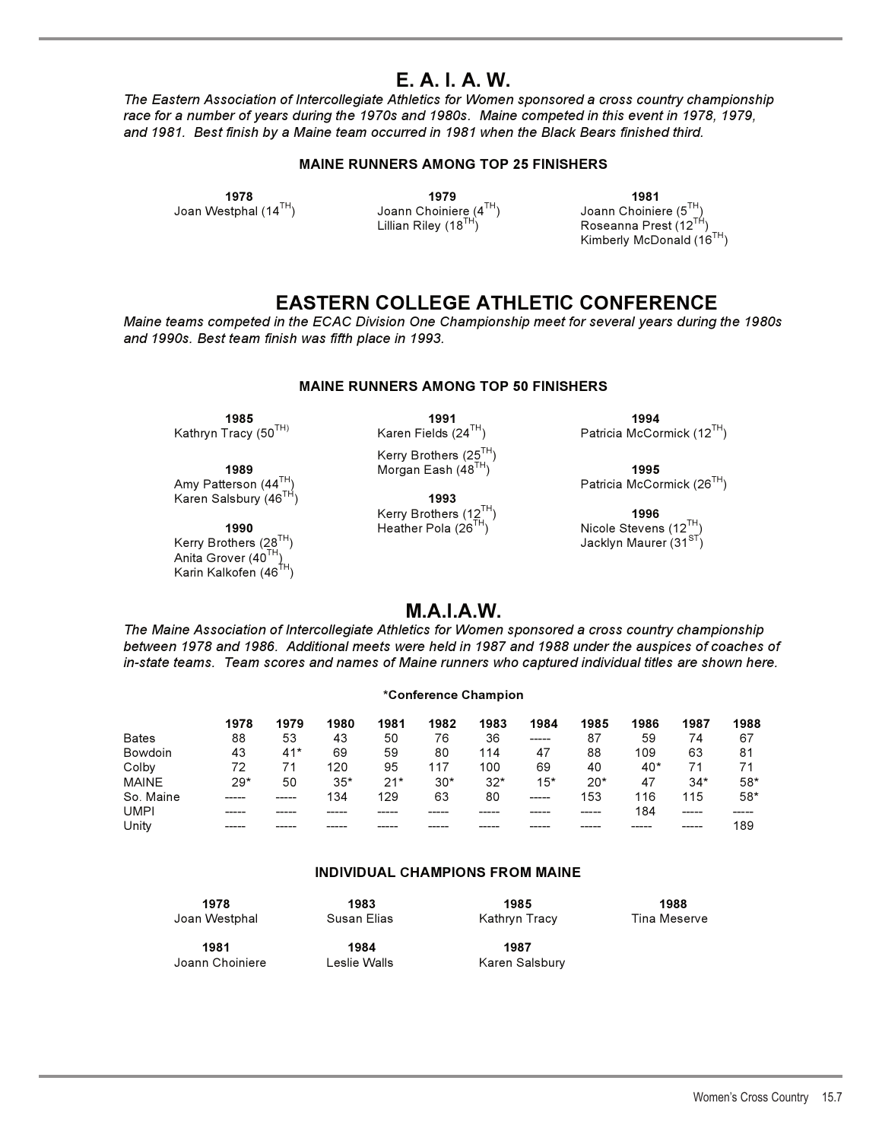## **E. A. I. A. W.**

*The Eastern Association of Intercollegiate Athletics for Women sponsored a cross country championship race for a number of years during the 1970s and 1980s. Maine competed in this event in 1978, 1979, and 1981. Best finish by a Maine team occurred in 1981 when the Black Bears finished third.*

#### **MAINE RUNNERS AMONG TOP 25 FINISHERS**

**1978 1979 1981**  Joan Westphal (14<sup>TH</sup>) Joann Choiniere (4<sup>TH</sup>) Joann Choiniere (5<sup>TH</sup>)<br>Lillian Riley (18<sup>TH</sup>) Lillian Riley (18<sup>TH</sup>) Roseanna Prest (12<sup>TF</sup>

Roseanna Prest  $(12^{TH})$ Kimberly McDonald (16TH)

## **EASTERN COLLEGE ATHLETIC CONFERENCE**

*Maine teams competed in the ECAC Division One Championship meet for several years during the 1980s and 1990s. Best team finish was fifth place in 1993.*

#### **MAINE RUNNERS AMONG TOP 50 FINISHERS**

**1989 1989** Morgan Eash (48<sup>TH</sup>)<sup>′</sup> **1995**<br>Patricia McCor **1995** Karen Salsbury (46<sup>TH</sup>)

Anita Grover (40TH) Karin Kalkofen (46 $^{fH}$ )

**1985 1991 1994** 

 $K$ erry Brothers (25 $^{TH}$ )<br>Morgan Eash (48 $^{TH}$ )

Kerry Brothers (12TH) **1996** 

Kathryn Tracy (50<sup>TH)</sup> Karen Fields (24<sup>TH</sup>) Patricia McCormick (12<sup>TH</sup>)

 $\mathsf{P}$ atricia McCormick (26 $^{\mathsf{TH}}$ ) Patricia McCormick (26 $^{\mathsf{TH}}$ )

**1990 1990 Heather Pola (26<sup>TH</sup>) Nicole Stevens (12<sup>TH</sup>)</del> <b>Kerry Brothers (28<sup>TH</sup>) 1990 Heather Pola (26<sup>TH</sup>) <b>1990 Heather (31**<sup>ST</sup>) Jacklyn Maurer (31ST)

## **M.A.I.A.W.**

*The Maine Association of Intercollegiate Athletics for Women sponsored a cross country championship between 1978 and 1986. Additional meets were held in 1987 and 1988 under the auspices of coaches of in-state teams. Team scores and names of Maine runners who captured individual titles are shown here.*

#### **\*Conference Champion**

|              | 1978  | 1979  | 1980  | 1981  | 1982  | 1983  | 1984  | 1985  | 1986  | 1987  | 1988  |
|--------------|-------|-------|-------|-------|-------|-------|-------|-------|-------|-------|-------|
| <b>Bates</b> | 88    | 53    | 43    | 50    | 76    | 36    | ----- | 87    | 59    | 74    | 67    |
| Bowdoin      | 43    | $41*$ | 69    | 59    | 80    | 114   | 47    | 88    | 109   | 63    | 81    |
| Colby        | 72    | 71    | 120   | 95    | 117   | 100   | 69    | 40    | $40*$ |       | 71    |
| <b>MAINE</b> | $29*$ | 50    | $35*$ | $21*$ | $30*$ | $32*$ | $15*$ | $20*$ | 47    | $34*$ | $58*$ |
| So. Maine    |       | ----- | 134   | 129   | 63    | 80    | ----- | 153   | 116   | 115   | $58*$ |
| <b>UMPI</b>  |       |       |       |       |       |       |       | ----- | 184   | ----- |       |
| Unity        |       |       |       |       |       |       |       |       |       | ----- | 189   |

#### **INDIVIDUAL CHAMPIONS FROM MAINE**

| 1978            | 1983         | 1985           | 1988         |
|-----------------|--------------|----------------|--------------|
| Joan Westphal   | Susan Elias  | Kathryn Tracy  | Tina Meserve |
| 1981            | 1984         | 1987           |              |
| Joann Choiniere | Leslie Walls | Karen Salsbury |              |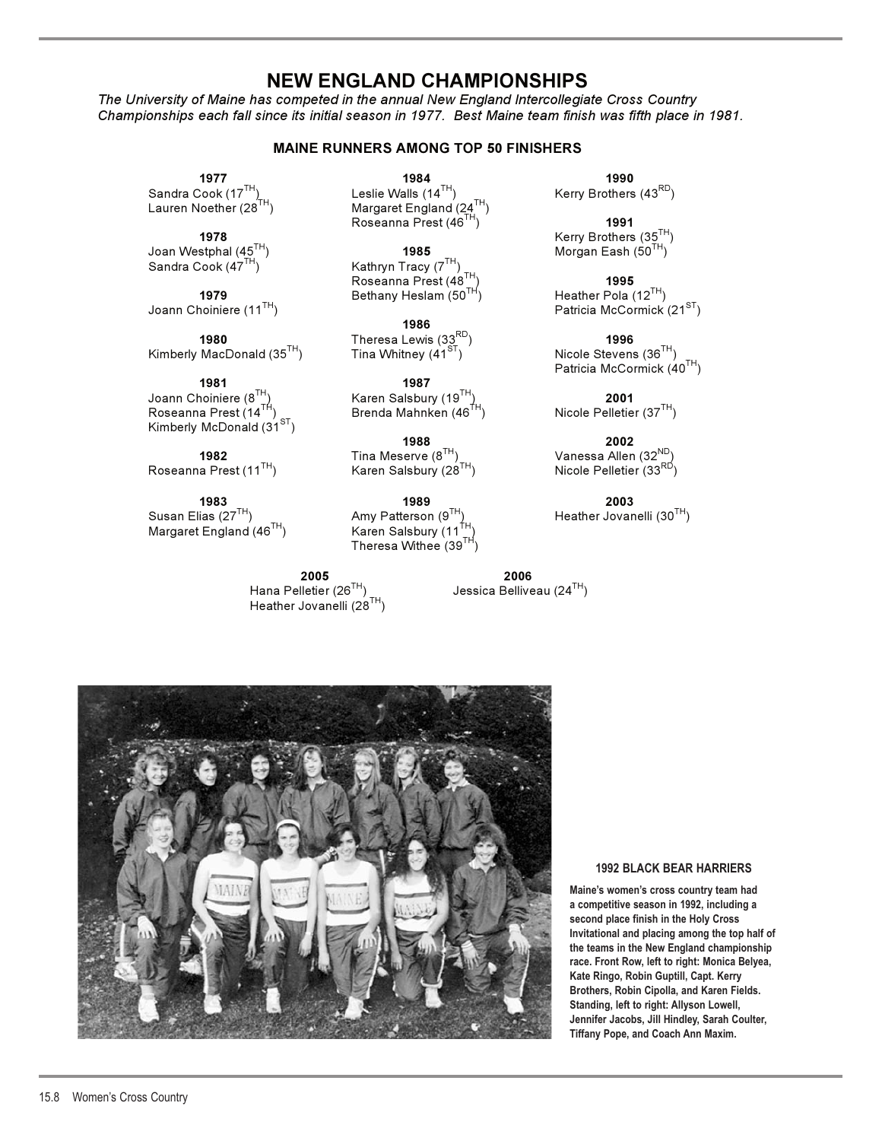## **NEW ENGLAND CHAMPIONSHIPS**

*The University of Maine has competed in the annual New England Intercollegiate Cross Country Championships each fall since its initial season in 1977. Best Maine team finish was fifth place in 1981.*

#### **MAINE RUNNERS AMONG TOP 50 FINISHERS**

Joan Westphal (45<sup>TH</sup>)<br>Sandra Cook (47<sup>TH</sup>)

**1979** Bethany Heslam (50<sup>TH</sup>)<br>Joann Choiniere (11<sup>TH</sup>)

Kimberly MacDonald  $(35<sup>TH</sup>)$ 

Joann Choiniere (8TH) Karen Salsbury (19TH) **2001**  Kimberly McDonald  $(31<sup>ST</sup>)$ 

Roseanna Prest (11 $^{TH}$ )

**1983 2003** 2003 2003 2004 2005 2006 2007 2008 2008 Susan Elias (27<sup>TH</sup>) Amy Patterson (9<sup>TH</sup>) Heather Jovanelli (30<sup>TH</sup>)<br>Margaret England (46<sup>TH</sup>) Karen Salsbury (11<sup>TH</sup>) Margaret England (46TH)

> **2005 2006**  Heather Jovanelli ( $28<sup>TH</sup>$ )

**1977 1984 1990**  Sandra Cook (17<sup>TH</sup>) Leslie Walls (14<sup>TH</sup>) Kerry Brothers (43<sup>RD</sup>)<br>Lauren Noether (28<sup>TH</sup>) Margaret England (24<sup>TH</sup>) Margaret England (24TH) Roseanna Prest (46TH) **1991** 

> Kathryn Tracy ( $7^{TH}$ ) Roseanna Prest (48TH) **1995**

**1986 1980** Theresa Lewis (33RD) **1996** 

**1981 1987**  Brenda Mahnken (46<sup>TH</sup>)

**1988 2002** 

Theresa Withee  $(39^{TH})$ 

Jessica Belliveau (24TH)



**1978** Kerry Brothers (35<sup>TH</sup>)<br>stphal (45<sup>TH</sup>) **1985** Morgan Eash (50<sup>TH</sup>)

Patricia McCormick (21ST)

Patricia McCormick (40TH)

**1982** Tina Meserve (8<sup>TH</sup>) Vanessa Allen (32<sup>ND</sup>)<br>In Prest (11<sup>TH</sup>) Karen Salsbury (28<sup>TH</sup>) Nicole Pelletier (33<sup>RD</sup>)



#### **1992 BLACK BEAR HARRIERS**

**Maine's women's cross country team had a competitive season in 1992, including a second place finish in the Holy Cross Invitational and placing among the top half of the teams in the New England championship race. Front Row, left to right: Monica Belyea, Kate Ringo, Robin Guptill, Capt. Kerry Brothers, Robin Cipolla, and Karen Fields. Standing, left to right: Allyson Lowell, Jennifer Jacobs, Jill Hindley, Sarah Coulter, Tiffany Pope, and Coach Ann Maxim.**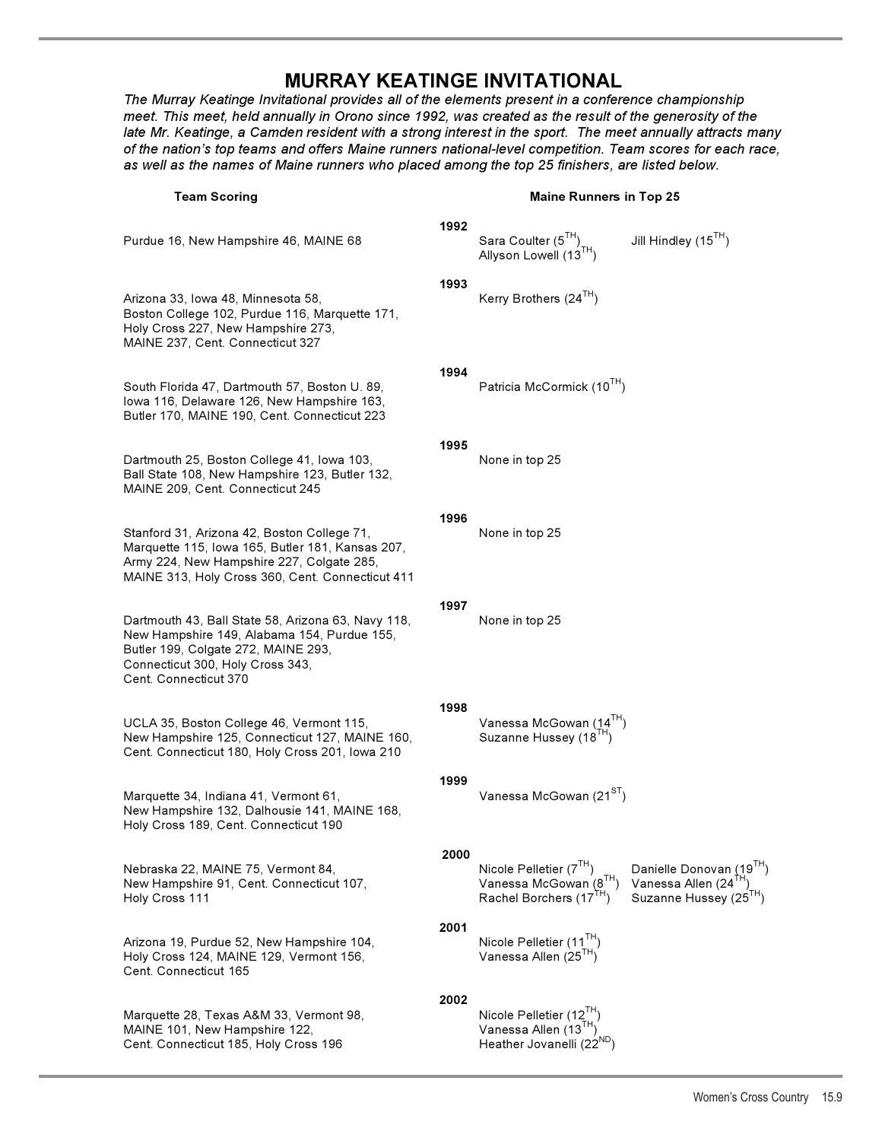## **MURRAY KEATINGE INVITATIONAL**

The Murray Keatinge Invitational provides all of the elements present in a conference championship *meet. This meet, held annually in Orono since 1992, was created as the result of the generosity of the late Mr. Keatinge, a Camden resident with a strong interest in the sport. The meet annually attracts many of the nation's top teams and offers Maine runners national-level competition. Team scores for each race, as well as the names of Maine runners who placed among the top 25 finishers, are listed below.*

#### Maine Runners in Ton 25

| <b>Team Scoring</b>                                                                                                                                                                                          |      | <b>Maine Runners in Top 25</b>                                                           |                                                                                       |  |  |  |
|--------------------------------------------------------------------------------------------------------------------------------------------------------------------------------------------------------------|------|------------------------------------------------------------------------------------------|---------------------------------------------------------------------------------------|--|--|--|
| Purdue 16, New Hampshire 46, MAINE 68                                                                                                                                                                        | 1992 | Sara Coulter (5TH)<br>Allyson Lowell (13TH)                                              | Jill Hindley $(15^{TH})$                                                              |  |  |  |
| Arizona 33, Iowa 48, Minnesota 58,<br>Boston College 102, Purdue 116, Marquette 171,<br>Holy Cross 227, New Hampshire 273,<br>MAINE 237, Cent. Connecticut 327                                               | 1993 | Kerry Brothers (24 <sup>TH</sup> )                                                       |                                                                                       |  |  |  |
| South Florida 47, Dartmouth 57, Boston U. 89,<br>lowa 116, Delaware 126, New Hampshire 163,<br>Butler 170, MAINE 190, Cent. Connecticut 223                                                                  | 1994 | Patricia McCormick (10 <sup>TH</sup> )                                                   |                                                                                       |  |  |  |
| Dartmouth 25, Boston College 41, Iowa 103,<br>Ball State 108, New Hampshire 123, Butler 132,<br>MAINE 209, Cent. Connecticut 245                                                                             | 1995 | None in top 25                                                                           |                                                                                       |  |  |  |
| Stanford 31, Arizona 42, Boston College 71,<br>Marquette 115, Iowa 165, Butler 181, Kansas 207,<br>Army 224, New Hampshire 227, Colgate 285,<br>MAINE 313, Holy Cross 360, Cent. Connecticut 411             | 1996 | None in top 25                                                                           |                                                                                       |  |  |  |
| Dartmouth 43, Ball State 58, Arizona 63, Navy 118,<br>New Hampshire 149, Alabama 154, Purdue 155,<br>Butler 199, Colgate 272, MAINE 293,<br>Connecticut 300, Holy Cross 343,<br><b>Cent. Connecticut 370</b> | 1997 | None in top 25                                                                           |                                                                                       |  |  |  |
| UCLA 35, Boston College 46, Vermont 115,<br>New Hampshire 125, Connecticut 127, MAINE 160,<br>Cent. Connecticut 180, Holy Cross 201, Iowa 210                                                                | 1998 | Vanessa McGowan (14 <sup>TH</sup> )<br>Suzanne Hussey (18 <sup>TH</sup> )                |                                                                                       |  |  |  |
| Marquette 34, Indiana 41, Vermont 61,<br>New Hampshire 132, Dalhousie 141, MAINE 168,<br>Holy Cross 189, Cent. Connecticut 190                                                                               | 1999 | Vanessa McGowan (21 <sup>ST</sup> )                                                      |                                                                                       |  |  |  |
| Nebraska 22, MAINE 75, Vermont 84,<br>New Hampshire 91, Cent. Connecticut 107,<br>Holy Cross 111                                                                                                             | 2000 | Nicole Pelletier (7TH)<br>Vanessa McGowan (8TH)<br>Rachel Borchers (17TH)                | Danielle Donovan (19TH)<br>Vanessa Allen (24TH)<br>Suzanne Hussey (25 <sup>TH</sup> ) |  |  |  |
| Arizona 19, Purdue 52, New Hampshire 104,<br>Holy Cross 124, MAINE 129, Vermont 156,<br>Cent. Connecticut 165                                                                                                | 2001 | Nicole Pelletier (11 <sup>TH</sup> )<br>Vanessa Allen (25 <sup>TH</sup> )                |                                                                                       |  |  |  |
| Marquette 28, Texas A&M 33, Vermont 98,<br>MAINE 101, New Hampshire 122,<br>Cent. Connecticut 185, Holy Cross 196                                                                                            | 2002 | Nicole Pelletier (12TH)<br>Vanessa Allen (13TH)<br>Heather Jovanelli (22 <sup>ND</sup> ) |                                                                                       |  |  |  |